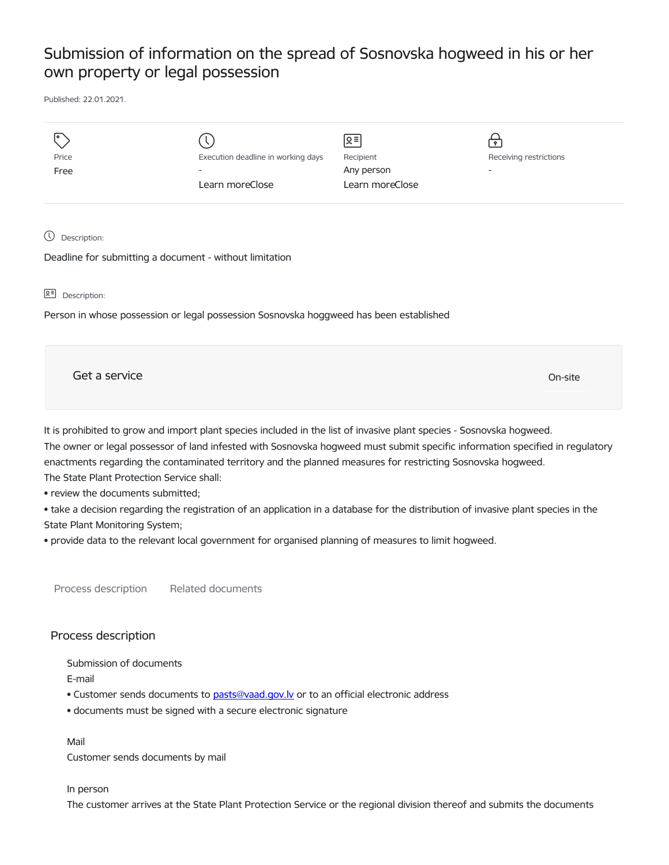## Submission of information on the spread of Sosnovska hogweed in his or her own property or legal possession

Published: 22.01.2021.

| ۱o<br>Price<br>Free         | Execution deadline in working days<br>$\overline{\phantom{0}}$<br>Learn moreClose | ∣ছ≅<br>Recipient<br>Any person<br>Learn moreClose | $\mathbf{P}$<br>Receiving restrictions<br>$\overline{\phantom{0}}$ |
|-----------------------------|-----------------------------------------------------------------------------------|---------------------------------------------------|--------------------------------------------------------------------|
| $\mathbb O$<br>Description: |                                                                                   |                                                   |                                                                    |

Deadline for submitting a document - without limitation

요<sup>리</sup> Description:

Person in whose possession or legal possession Sosnovska hoggweed has been established

| Get a service | On-site |
|---------------|---------|
|---------------|---------|

It is prohibited to grow and import plant species included in the list of invasive plant species - Sosnovska hogweed. The owner or legal possessor of land infested with Sosnovska hogweed must submit specific information specified in regulatory enactments regarding the contaminated territory and the planned measures for restricting Sosnovska hogweed. The State Plant Protection Service shall:

• review the documents submitted;

• take a decision regarding the registration of an application in a database for the distribution of invasive plant species in the State Plant Monitoring System;

• provide data to the relevant local government for organised planning of measures to limit hogweed.

Process description Related documents

## Process description

Submission of documents

E-mail

- Customer sends documents to pasts@vaad.gov.ly or to an official electronic address
- documents must be signed with a secure electronic signature

Mail Customer sends documents by mail

## In person

The customer arrives at the State Plant Protection Service or the regional division thereof and submits the documents